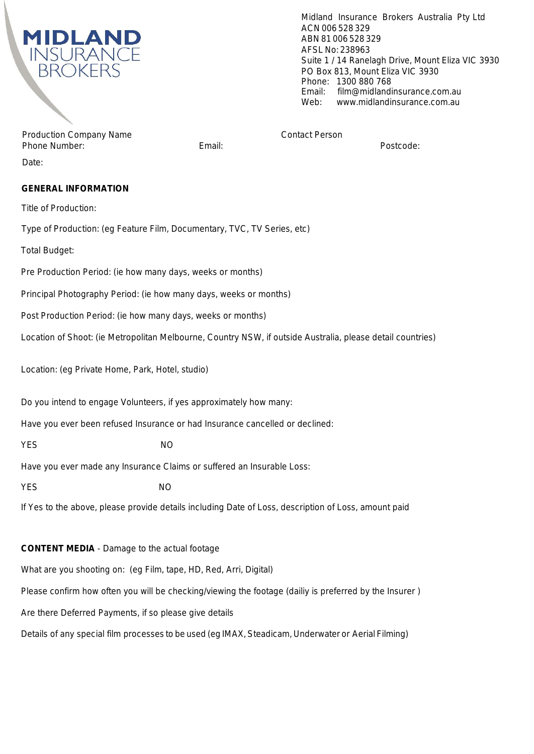

Midland Insurance Brokers Australia Pty Ltd ACN 006528329 ABN 81006528329 AFSL No:238963 Suite 1 / 14 Ranelagh Drive, Mount Eliza VIC 3930 PO Box 813, Mount Eliza VIC 3930 Phone: 1300 880 768 Email: film@midlandinsurance.com.au Web: www.midlandinsurance.com.au

Production Company Name Contact Person Phone Number: The Contract of the Email: Postcode: Postcode: Postcode:

Date:

## **GENERAL INFORMATION**

Title of Production:

Type of Production: (eg Feature Film, Documentary, TVC, TV Series, etc)

Total Budget:

Pre Production Period: (ie how many days, weeks or months)

Principal Photography Period: (ie how many days, weeks or months)

Post Production Period: (ie how many days, weeks or months)

Location of Shoot: (ie Metropolitan Melbourne, Country NSW, if outside Australia, please detail countries)

Location: (eg Private Home, Park, Hotel, studio)

Do you intend to engage Volunteers, if yes approximately how many:

Have you ever been refused Insurance or had Insurance cancelled or declined:

YES II NO

Have you ever made any Insurance Claims or suffered an Insurable Loss:

YES NO

If Yes to the above, please provide details including Date of Loss, description of Loss, amount paid

**CONTENT MEDIA** - Damage to the actual footage

What are you shooting on: (eg Film, tape, HD, Red, Arri, Digital)

Please confirm how often you will be checking/viewing the footage (dailiy is preferred by the Insurer)

Are there Deferred Payments, if so please give details

Details of any special film processes to be used (eg IMAX, Steadicam, Underwater or Aerial Filming)